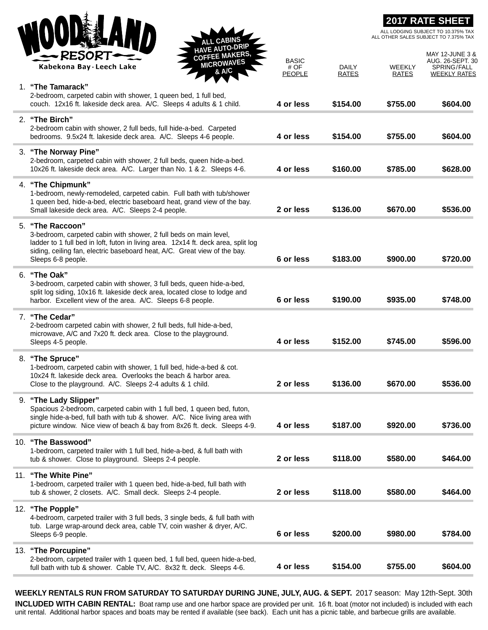|     | <b>CABINS</b><br><b>HAVE AUTO-DRIP</b><br><b>COFFEE MAKERS,</b><br><b>RESOR</b>                                                                                                                                                                                                |                                       |                       | ALL OTHER SALES SUBJECT TO 7.375% TAX | <b>2017 RATE SHEET</b><br>ALL LODGING SUBJECT TO 10.375% TAX<br>MAY 12-JUNE 3 & |
|-----|--------------------------------------------------------------------------------------------------------------------------------------------------------------------------------------------------------------------------------------------------------------------------------|---------------------------------------|-----------------------|---------------------------------------|---------------------------------------------------------------------------------|
|     | <b>MICROWAVES</b><br>Kabekona Bay - Leech Lake<br>& A/C                                                                                                                                                                                                                        | <b>BASIC</b><br># OF<br><b>PEOPLE</b> | DAILY<br><b>RATES</b> | WEEKLY<br><b>RATES</b>                | AUG. 26-SEPT. 30<br>SPRING/FALL<br><b>WEEKLY RATES</b>                          |
|     | 1. "The Tamarack"<br>2-bedroom, carpeted cabin with shower, 1 queen bed, 1 full bed,<br>couch. 12x16 ft. lakeside deck area. A/C. Sleeps 4 adults & 1 child.                                                                                                                   | 4 or less                             | \$154.00              | \$755.00                              | \$604.00                                                                        |
|     | 2. "The Birch"<br>2-bedroom cabin with shower, 2 full beds, full hide-a-bed. Carpeted<br>bedrooms. 9.5x24 ft. lakeside deck area. A/C. Sleeps 4-6 people.                                                                                                                      | 4 or less                             | \$154.00              | \$755.00                              | \$604.00                                                                        |
|     | 3. "The Norway Pine"<br>2-bedroom, carpeted cabin with shower, 2 full beds, queen hide-a-bed.<br>10x26 ft. lakeside deck area. A/C. Larger than No. 1 & 2. Sleeps 4-6.                                                                                                         | 4 or less                             | \$160.00              | \$785.00                              | \$628.00                                                                        |
|     | 4. "The Chipmunk"<br>1-bedroom, newly-remodeled, carpeted cabin. Full bath with tub/shower<br>1 queen bed, hide-a-bed, electric baseboard heat, grand view of the bay.<br>Small lakeside deck area. A/C. Sleeps 2-4 people.                                                    | 2 or less                             | \$136.00              | \$670.00                              | \$536.00                                                                        |
|     | 5. "The Raccoon"<br>3-bedroom, carpeted cabin with shower, 2 full beds on main level,<br>ladder to 1 full bed in loft, futon in living area. 12x14 ft. deck area, split log<br>siding, ceiling fan, electric baseboard heat, A/C. Great view of the bay.<br>Sleeps 6-8 people. | 6 or less                             | \$183.00              | \$900.00                              | \$720.00                                                                        |
|     | 6. "The Oak"<br>3-bedroom, carpeted cabin with shower, 3 full beds, queen hide-a-bed,<br>split log siding, 10x16 ft. lakeside deck area, located close to lodge and<br>harbor. Excellent view of the area. A/C. Sleeps 6-8 people.                                             | 6 or less                             | \$190.00              | \$935.00                              | \$748.00                                                                        |
|     | 7. "The Cedar"<br>2-bedroom carpeted cabin with shower, 2 full beds, full hide-a-bed,<br>microwave, A/C and 7x20 ft. deck area. Close to the playground.<br>Sleeps 4-5 people.                                                                                                 | 4 or less                             | \$152.00              | \$745.00                              | \$596.00                                                                        |
|     | 8. "The Spruce"<br>1-bedroom, carpeted cabin with shower, 1 full bed, hide-a-bed & cot.<br>10x24 ft. lakeside deck area. Overlooks the beach & harbor area.<br>Close to the playground. A/C. Sleeps 2-4 adults & 1 child.                                                      | 2 or less                             | \$136.00              | \$670.00                              | \$536.00                                                                        |
|     | 9. "The Lady Slipper"<br>Spacious 2-bedroom, carpeted cabin with 1 full bed, 1 queen bed, futon,<br>single hide-a-bed, full bath with tub & shower. A/C. Nice living area with<br>picture window. Nice view of beach & bay from 8x26 ft. deck. Sleeps 4-9.                     | 4 or less                             | \$187.00              | \$920.00                              | \$736.00                                                                        |
|     | 10. "The Basswood"<br>1-bedroom, carpeted trailer with 1 full bed, hide-a-bed, & full bath with<br>tub & shower. Close to playground. Sleeps 2-4 people.                                                                                                                       | 2 or less                             | \$118.00              | \$580.00                              | \$464.00                                                                        |
| 11. | "The White Pine"<br>1-bedroom, carpeted trailer with 1 queen bed, hide-a-bed, full bath with<br>tub & shower, 2 closets. A/C. Small deck. Sleeps 2-4 people.                                                                                                                   | 2 or less                             | \$118.00              | \$580.00                              | \$464.00                                                                        |
|     | 12. "The Popple"<br>4-bedroom, carpeted trailer with 3 full beds, 3 single beds, & full bath with<br>tub. Large wrap-around deck area, cable TV, coin washer & dryer, A/C.<br>Sleeps 6-9 people.                                                                               | 6 or less                             | \$200.00              | \$980.00                              | \$784.00                                                                        |
| 13. | "The Porcupine"<br>2-bedroom, carpeted trailer with 1 queen bed, 1 full bed, queen hide-a-bed,<br>full bath with tub & shower. Cable TV, A/C. 8x32 ft. deck. Sleeps 4-6.                                                                                                       | 4 or less                             | \$154.00              | \$755.00                              | \$604.00                                                                        |

**WEEKLY RENTALS RUN FROM SATURDAY TO SATURDAY DURING JUNE, JULY, AUG. & SEPT.** 2017 season: May 12th-Sept. 30th **INCLUDED WITH CABIN RENTAL:** Boat ramp use and one harbor space are provided per unit. 16 ft. boat (motor not included) is included with each unit rental. Additional harbor spaces and boats may be rented if available (see back). Each unit has a picnic table, and barbecue grills are available.